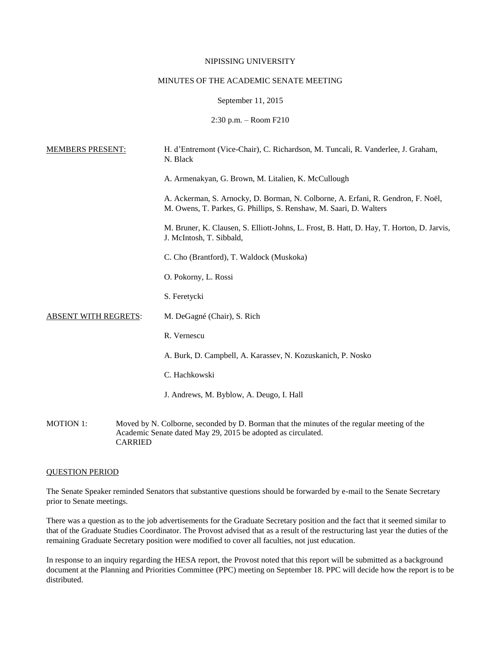### NIPISSING UNIVERSITY

# MINUTES OF THE ACADEMIC SENATE MEETING

September 11, 2015

2:30 p.m. – Room F210

| <b>MEMBERS PRESENT:</b>     |                                                                                                                                                                              | H. d'Entremont (Vice-Chair), C. Richardson, M. Tuncali, R. Vanderlee, J. Graham,<br>N. Black                                                           |
|-----------------------------|------------------------------------------------------------------------------------------------------------------------------------------------------------------------------|--------------------------------------------------------------------------------------------------------------------------------------------------------|
|                             |                                                                                                                                                                              | A. Armenakyan, G. Brown, M. Litalien, K. McCullough                                                                                                    |
|                             |                                                                                                                                                                              | A. Ackerman, S. Arnocky, D. Borman, N. Colborne, A. Erfani, R. Gendron, F. Noël,<br>M. Owens, T. Parkes, G. Phillips, S. Renshaw, M. Saari, D. Walters |
|                             |                                                                                                                                                                              | M. Bruner, K. Clausen, S. Elliott-Johns, L. Frost, B. Hatt, D. Hay, T. Horton, D. Jarvis,<br>J. McIntosh, T. Sibbald,                                  |
|                             |                                                                                                                                                                              | C. Cho (Brantford), T. Waldock (Muskoka)                                                                                                               |
|                             |                                                                                                                                                                              | O. Pokorny, L. Rossi                                                                                                                                   |
|                             |                                                                                                                                                                              | S. Feretycki                                                                                                                                           |
| <b>ABSENT WITH REGRETS:</b> |                                                                                                                                                                              | M. DeGagné (Chair), S. Rich                                                                                                                            |
|                             |                                                                                                                                                                              | R. Vernescu                                                                                                                                            |
|                             |                                                                                                                                                                              | A. Burk, D. Campbell, A. Karassev, N. Kozuskanich, P. Nosko                                                                                            |
|                             |                                                                                                                                                                              | C. Hachkowski                                                                                                                                          |
|                             |                                                                                                                                                                              | J. Andrews, M. Byblow, A. Deugo, I. Hall                                                                                                               |
| <b>MOTION 1:</b>            | Moved by N. Colborne, seconded by D. Borman that the minutes of the regular meeting of the<br>Academic Senate dated May 29, 2015 be adopted as circulated.<br><b>CARRIED</b> |                                                                                                                                                        |

# QUESTION PERIOD

The Senate Speaker reminded Senators that substantive questions should be forwarded by e-mail to the Senate Secretary prior to Senate meetings.

There was a question as to the job advertisements for the Graduate Secretary position and the fact that it seemed similar to that of the Graduate Studies Coordinator. The Provost advised that as a result of the restructuring last year the duties of the remaining Graduate Secretary position were modified to cover all faculties, not just education.

In response to an inquiry regarding the HESA report, the Provost noted that this report will be submitted as a background document at the Planning and Priorities Committee (PPC) meeting on September 18. PPC will decide how the report is to be distributed.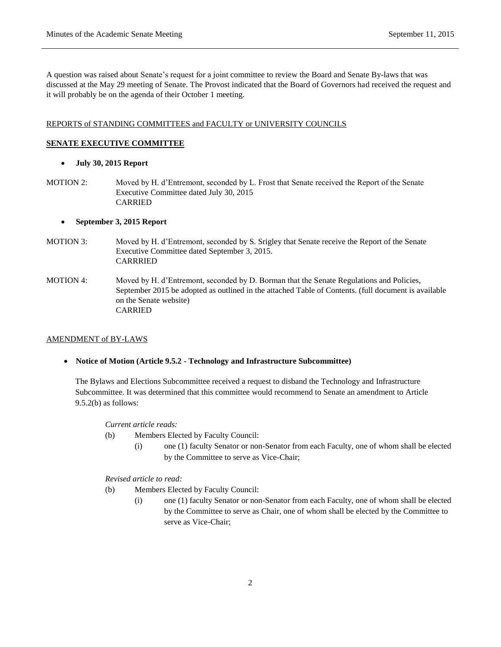A question was raised about Senate's request for a joint committee to review the Board and Senate By-laws that was discussed at the May 29 meeting of Senate. The Provost indicated that the Board of Governors had received the request and it will probably be on the agenda of their October 1 meeting.

#### REPORTS of STANDING COMMITTEES and FACULTY or UNIVERSITY COUNCILS

# **SENATE EXECUTIVE COMMITTEE**

- **July 30, 2015 Report**
- MOTION 2: Moved by H. d'Entremont, seconded by L. Frost that Senate received the Report of the Senate Executive Committee dated July 30, 2015 CARRIED

### **September 3, 2015 Report**

- MOTION 3: Moved by H. d'Entremont, seconded by S. Srigley that Senate receive the Report of the Senate Executive Committee dated September 3, 2015. CARRRIED
- MOTION 4: Moved by H. d'Entremont, seconded by D. Borman that the Senate Regulations and Policies, September 2015 be adopted as outlined in the attached Table of Contents. (full document is available on the Senate website) CARRIED

#### AMENDMENT of BY-LAWS

#### **Notice of Motion (Article 9.5.2 - Technology and Infrastructure Subcommittee)**

The Bylaws and Elections Subcommittee received a request to disband the Technology and Infrastructure Subcommittee. It was determined that this committee would recommend to Senate an amendment to Article 9.5.2(b) as follows:

*Current article reads:*

- (b) Members Elected by Faculty Council:
	- (i) one (1) faculty Senator or non-Senator from each Faculty, one of whom shall be elected by the Committee to serve as Vice-Chair;

*Revised article to read:*

- (b) Members Elected by Faculty Council:
	- (i) one (1) faculty Senator or non-Senator from each Faculty, one of whom shall be elected by the Committee to serve as Chair, one of whom shall be elected by the Committee to serve as Vice-Chair;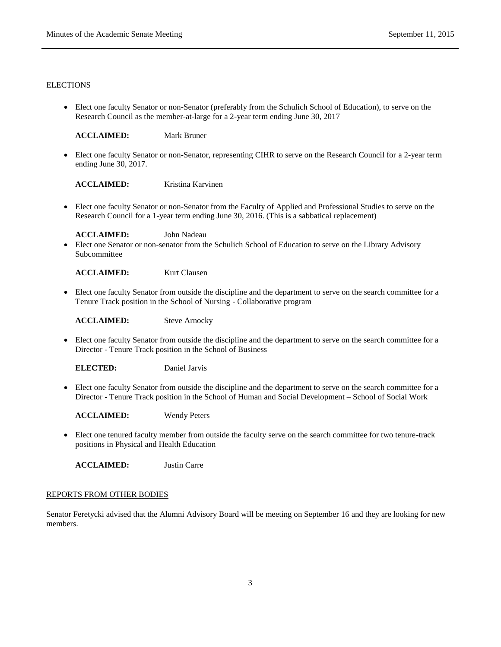## **ELECTIONS**

 Elect one faculty Senator or non-Senator (preferably from the Schulich School of Education), to serve on the Research Council as the member-at-large for a 2-year term ending June 30, 2017

**ACCLAIMED:** Mark Bruner

 Elect one faculty Senator or non-Senator, representing CIHR to serve on the Research Council for a 2-year term ending June 30, 2017.

**ACCLAIMED:** Kristina Karvinen

 Elect one faculty Senator or non-Senator from the Faculty of Applied and Professional Studies to serve on the Research Council for a 1-year term ending June 30, 2016. (This is a sabbatical replacement)

**ACCLAIMED:** John Nadeau

 Elect one Senator or non-senator from the Schulich School of Education to serve on the Library Advisory Subcommittee

**ACCLAIMED:** Kurt Clausen

 Elect one faculty Senator from outside the discipline and the department to serve on the search committee for a Tenure Track position in the School of Nursing - Collaborative program

**ACCLAIMED:** Steve Arnocky

 Elect one faculty Senator from outside the discipline and the department to serve on the search committee for a Director - Tenure Track position in the School of Business

**ELECTED:** Daniel Jarvis

 Elect one faculty Senator from outside the discipline and the department to serve on the search committee for a Director - Tenure Track position in the School of Human and Social Development – School of Social Work

**ACCLAIMED:** Wendy Peters

 Elect one tenured faculty member from outside the faculty serve on the search committee for two tenure-track positions in Physical and Health Education

**ACCLAIMED:** Justin Carre

## REPORTS FROM OTHER BODIES

Senator Feretycki advised that the Alumni Advisory Board will be meeting on September 16 and they are looking for new members.